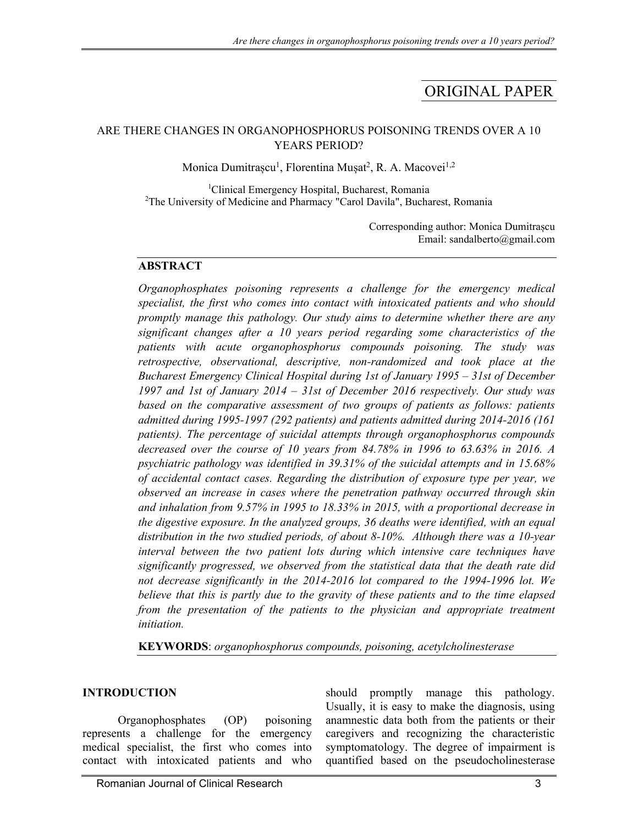# ORIGINAL PAPER

#### ARE THERE CHANGES IN ORGANOPHOSPHORUS POISONING TRENDS OVER A 10 YEARS PERIOD?

Monica Dumitrașcu<sup>1</sup>, Florentina Mușat<sup>2</sup>, R. A. Macovei<sup>1,2</sup>

<sup>1</sup>Clinical Emergency Hospital, Bucharest, Romania <sup>2</sup>The University of Medicine and Pharmacy "Carol Davila", Bucharest, Romania

> Corresponding author: Monica Dumitrașcu Email: sandalberto@gmail.com

#### **ABSTRACT**

*Organophosphates poisoning represents a challenge for the emergency medical specialist, the first who comes into contact with intoxicated patients and who should promptly manage this pathology. Our study aims to determine whether there are any significant changes after a 10 years period regarding some characteristics of the patients with acute organophosphorus compounds poisoning. The study was retrospective, observational, descriptive, non-randomized and took place at the Bucharest Emergency Clinical Hospital during 1st of January 1995 – 31st of December 1997 and 1st of January 2014 – 31st of December 2016 respectively. Our study was*  based on the comparative assessment of two groups of patients as follows: patients *admitted during 1995-1997 (292 patients) and patients admitted during 2014-2016 (161 patients). The percentage of suicidal attempts through organophosphorus compounds decreased over the course of 10 years from 84.78% in 1996 to 63.63% in 2016. A psychiatric pathology was identified in 39.31% of the suicidal attempts and in 15.68% of accidental contact cases. Regarding the distribution of exposure type per year, we observed an increase in cases where the penetration pathway occurred through skin and inhalation from 9.57% in 1995 to 18.33% in 2015, with a proportional decrease in the digestive exposure. In the analyzed groups, 36 deaths were identified, with an equal distribution in the two studied periods, of about 8-10%. Although there was a 10-year interval between the two patient lots during which intensive care techniques have significantly progressed, we observed from the statistical data that the death rate did not decrease significantly in the 2014-2016 lot compared to the 1994-1996 lot. We believe that this is partly due to the gravity of these patients and to the time elapsed*  from the presentation of the patients to the physician and appropriate treatment *initiation.* 

**KEYWORDS**: *organophosphorus compounds, poisoning, acetylcholinesterase*

#### **INTRODUCTION**

Organophosphates (OP) poisoning represents a challenge for the emergency medical specialist, the first who comes into contact with intoxicated patients and who

should promptly manage this pathology. Usually, it is easy to make the diagnosis, using anamnestic data both from the patients or their caregivers and recognizing the characteristic symptomatology. The degree of impairment is quantified based on the pseudocholinesterase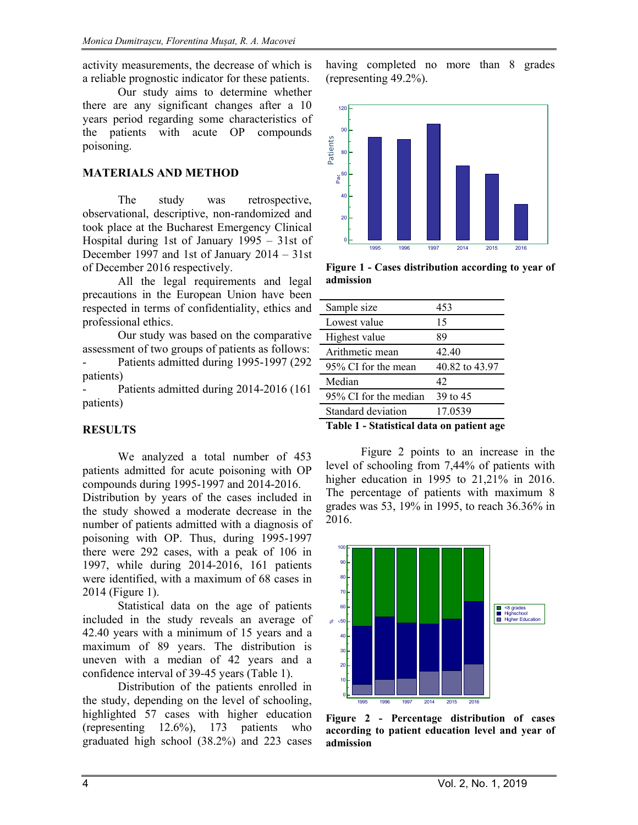activity measurements, the decrease of which is a reliable prognostic indicator for these patients.

Our study aims to determine whether there are any significant changes after a 10 years period regarding some characteristics of the patients with acute OP compounds poisoning.

### **MATERIALS AND METHOD**

The study was retrospective, observational, descriptive, non-randomized and took place at the Bucharest Emergency Clinical Hospital during 1st of January 1995 – 31st of December 1997 and 1st of January 2014 – 31st of December 2016 respectively.

All the legal requirements and legal precautions in the European Union have been respected in terms of confidentiality, ethics and professional ethics.

Our study was based on the comparative assessment of two groups of patients as follows: Patients admitted during 1995-1997 (292) patients)

Patients admitted during 2014-2016 (161) patients)

## **RESULTS**

We analyzed a total number of 453 patients admitted for acute poisoning with OP compounds during 1995-1997 and 2014-2016.

Distribution by years of the cases included in the study showed a moderate decrease in the number of patients admitted with a diagnosis of poisoning with OP. Thus, during 1995-1997 there were 292 cases, with a peak of 106 in 1997, while during 2014-2016, 161 patients were identified, with a maximum of 68 cases in 2014 (Figure 1).

Statistical data on the age of patients included in the study reveals an average of 42.40 years with a minimum of 15 years and a maximum of 89 years. The distribution is uneven with a median of 42 years and a confidence interval of 39-45 years (Table 1).

Distribution of the patients enrolled in the study, depending on the level of schooling, highlighted 57 cases with higher education (representing 12.6%), 173 patients who graduated high school (38.2%) and 223 cases

having completed no more than 8 grades (representing 49.2%).



**Figure 1 - Cases distribution according to year of admission** 

| Sample size           | 453            |
|-----------------------|----------------|
| Lowest value          | 15             |
| Highest value         | 89             |
| Arithmetic mean       | 42.40          |
| 95% CI for the mean   | 40.82 to 43.97 |
| Median                | 42             |
| 95% CI for the median | 39 to 45       |
| Standard deviation    | 17.0539        |
| .                     |                |

**Table 1 - Statistical data on patient age** 

Figure 2 points to an increase in the level of schooling from 7,44% of patients with higher education in 1995 to 21,21% in 2016. The percentage of patients with maximum 8 grades was 53, 19% in 1995, to reach 36.36% in 2016.



**Figure 2 - Percentage distribution of cases according to patient education level and year of admission**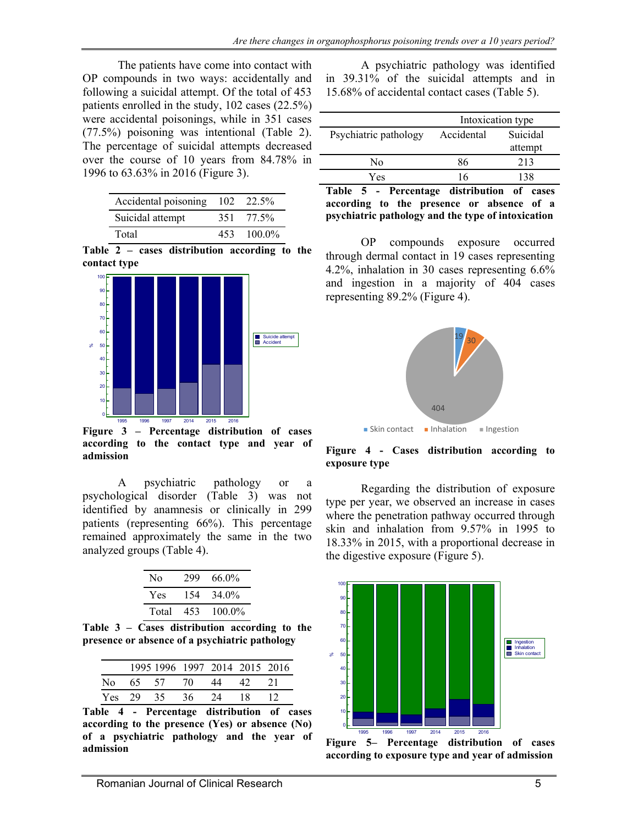The patients have come into contact with OP compounds in two ways: accidentally and following a suicidal attempt. Of the total of 453 patients enrolled in the study, 102 cases (22.5%) were accidental poisonings, while in 351 cases (77.5%) poisoning was intentional (Table 2). The percentage of suicidal attempts decreased over the course of 10 years from 84.78% in 1996 to 63.63% in 2016 (Figure 3).

| Accidental poisoning |      | 102 22.5% |
|----------------------|------|-----------|
| Suicidal attempt     |      | 351 77.5% |
| Total                | 453. | $100.0\%$ |

**Table 2 – cases distribution according to the contact type** 



 **Figure 3 – Percentage distribution of cases according to the contact type and year of admission** 

A psychiatric pathology or a psychological disorder (Table 3) was not identified by anamnesis or clinically in 299 patients (representing 66%). This percentage remained approximately the same in the two analyzed groups (Table 4).

| N <sub>0</sub> | 299 | 66.0%  |
|----------------|-----|--------|
| Yes.           | 154 | 34.0%  |
| Total          | 453 | 100.0% |

**Table 3 – Cases distribution according to the presence or absence of a psychiatric pathology** 

|      |       |      |     | 1995 1996 1997 2014 2015 2016 |     |  |
|------|-------|------|-----|-------------------------------|-----|--|
| N٥   | 65 57 |      | 70. | 44                            |     |  |
| Yes. | 29.   | -35. | 36. | 24                            | 18. |  |

**Table 4 - Percentage distribution of cases according to the presence (Yes) or absence (No) of a psychiatric pathology and the year of admission** 

A psychiatric pathology was identified in 39.31% of the suicidal attempts and in 15.68% of accidental contact cases (Table 5).

|                       | Intoxication type |                     |  |
|-----------------------|-------------------|---------------------|--|
| Psychiatric pathology | Accidental        | Suicidal<br>attempt |  |
| Nο                    | 86                | 213                 |  |
| Yes                   | 16                | 138                 |  |

**Table 5 - Percentage distribution of cases according to the presence or absence of a psychiatric pathology and the type of intoxication** 

OP compounds exposure occurred through dermal contact in 19 cases representing 4.2%, inhalation in 30 cases representing 6.6% and ingestion in a majority of 404 cases representing 89.2% (Figure 4).



**Figure 4 - Cases distribution according to exposure type** 

Regarding the distribution of exposure type per year, we observed an increase in cases where the penetration pathway occurred through skin and inhalation from 9.57% in 1995 to 18.33% in 2015, with a proportional decrease in the digestive exposure (Figure 5).



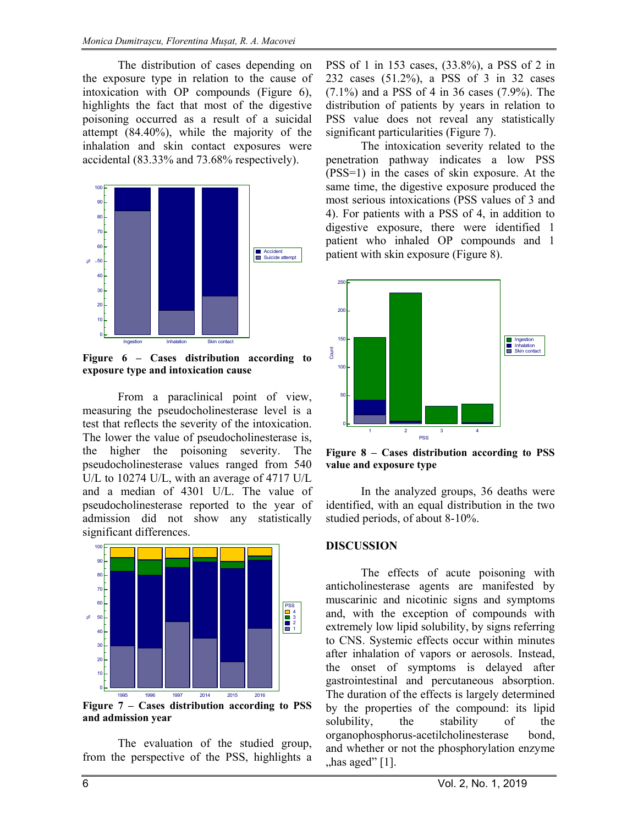The distribution of cases depending on the exposure type in relation to the cause of intoxication with OP compounds (Figure 6), highlights the fact that most of the digestive poisoning occurred as a result of a suicidal attempt (84.40%), while the majority of the inhalation and skin contact exposures were accidental (83.33% and 73.68% respectively).



**Figure 6 – Cases distribution according to exposure type and intoxication cause** 

From a paraclinical point of view, measuring the pseudocholinesterase level is a test that reflects the severity of the intoxication. The lower the value of pseudocholinesterase is, the higher the poisoning severity. The pseudocholinesterase values ranged from 540 U/L to 10274 U/L, with an average of 4717 U/L and a median of 4301 U/L. The value of pseudocholinesterase reported to the year of admission did not show any statistically significant differences.



**Figure 7 – Cases distribution according to PSS and admission year** 

The evaluation of the studied group, from the perspective of the PSS, highlights a PSS of 1 in 153 cases, (33.8%), a PSS of 2 in 232 cases (51.2%), a PSS of 3 in 32 cases (7.1%) and a PSS of 4 in 36 cases (7.9%). The distribution of patients by years in relation to PSS value does not reveal any statistically significant particularities (Figure 7).

The intoxication severity related to the penetration pathway indicates a low PSS (PSS=1) in the cases of skin exposure. At the same time, the digestive exposure produced the most serious intoxications (PSS values of 3 and 4). For patients with a PSS of 4, in addition to digestive exposure, there were identified 1 patient who inhaled OP compounds and 1 patient with skin exposure (Figure 8).



**Figure 8 – Cases distribution according to PSS value and exposure type** 

In the analyzed groups, 36 deaths were identified, with an equal distribution in the two studied periods, of about 8-10%.

#### **DISCUSSION**

The effects of acute poisoning with anticholinesterase agents are manifested by muscarinic and nicotinic signs and symptoms and, with the exception of compounds with extremely low lipid solubility, by signs referring to CNS. Systemic effects occur within minutes after inhalation of vapors or aerosols. Instead, the onset of symptoms is delayed after gastrointestinal and percutaneous absorption. The duration of the effects is largely determined by the properties of the compound: its lipid solubility, the stability of the organophosphorus-acetilcholinesterase bond, and whether or not the phosphorylation enzyme  $,$ has aged" [1].